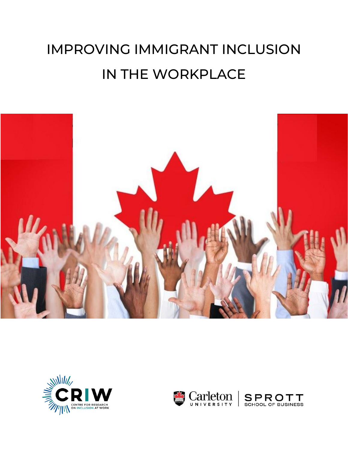# IMPROVING IMMIGRANT INCLUSION IN THE WORKPLACE





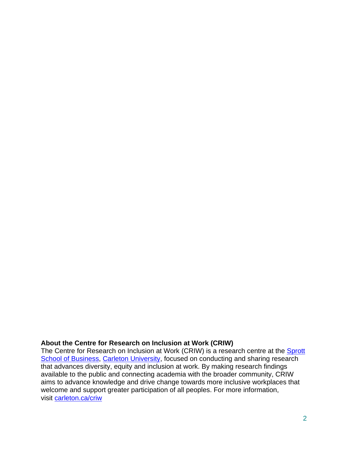#### **About the Centre for Research on Inclusion at Work (CRIW)**

The Centre for Research on Inclusion at Work (CRIW) is a research centre at the Sprott [School of Business,](https://sprott.carleton.ca/) [Carleton University,](https://carleton.ca/) focused on conducting and sharing research that advances diversity, equity and inclusion at work. By making research findings available to the public and connecting academia with the broader community, CRIW aims to advance knowledge and drive change towards more inclusive workplaces that welcome and support greater participation of all peoples. For more information, visit [carleton.ca/criw](https://carleton.ca/criw/)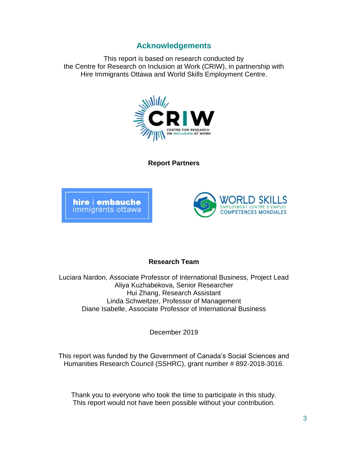### **Acknowledgements**

<span id="page-2-0"></span>This report is based on research conducted by the Centre for Research on Inclusion at Work (CRIW), in partnership with Hire Immigrants Ottawa and World Skills Employment Centre.



**Report Partners**





#### **Research Team**

Luciara Nardon, Associate Professor of International Business, Project Lead Aliya Kuzhabekova, Senior Researcher Hui Zhang, Research Assistant Linda Schweitzer, Professor of Management Diane Isabelle, Associate Professor of International Business

December 2019

This report was funded by the Government of Canada's Social Sciences and Humanities Research Council (SSHRC), grant number # 892-2018-3016.

Thank you to everyone who took the time to participate in this study. This report would not have been possible without your contribution.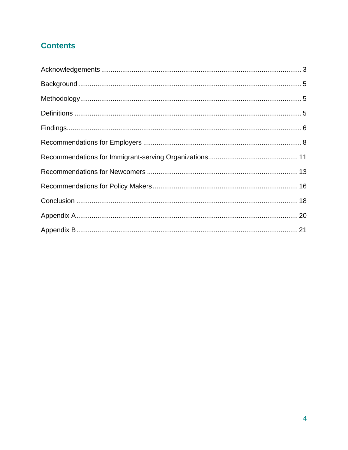# **Contents**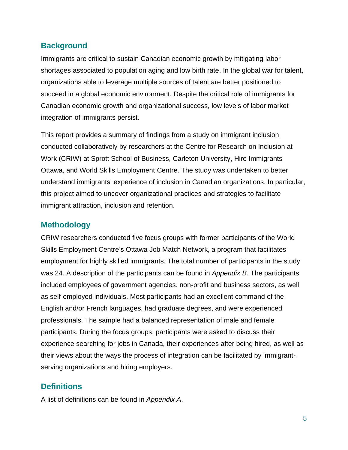### <span id="page-4-0"></span>**Background**

Immigrants are critical to sustain Canadian economic growth by mitigating labor shortages associated to population aging and low birth rate. In the global war for talent, organizations able to leverage multiple sources of talent are better positioned to succeed in a global economic environment. Despite the critical role of immigrants for Canadian economic growth and organizational success, low levels of labor market integration of immigrants persist.

This report provides a summary of findings from a study on immigrant inclusion conducted collaboratively by researchers at the Centre for Research on Inclusion at Work (CRIW) at Sprott School of Business, Carleton University, Hire Immigrants Ottawa, and World Skills Employment Centre. The study was undertaken to better understand immigrants' experience of inclusion in Canadian organizations. In particular, this project aimed to uncover organizational practices and strategies to facilitate immigrant attraction, inclusion and retention.

# <span id="page-4-1"></span>**Methodology**

CRIW researchers conducted five focus groups with former participants of the World Skills Employment Centre's Ottawa Job Match Network, a program that facilitates employment for highly skilled immigrants. The total number of participants in the study was 24. A description of the participants can be found in *Appendix B*. The participants included employees of government agencies, non-profit and business sectors, as well as self-employed individuals. Most participants had an excellent command of the English and/or French languages, had graduate degrees, and were experienced professionals. The sample had a balanced representation of male and female participants. During the focus groups, participants were asked to discuss their experience searching for jobs in Canada, their experiences after being hired, as well as their views about the ways the process of integration can be facilitated by immigrantserving organizations and hiring employers.

# <span id="page-4-2"></span>**Definitions**

A list of definitions can be found in *Appendix A*.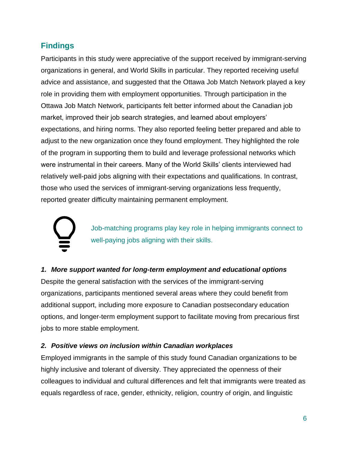# <span id="page-5-0"></span>**Findings**

Participants in this study were appreciative of the support received by immigrant-serving organizations in general, and World Skills in particular. They reported receiving useful advice and assistance, and suggested that the Ottawa Job Match Network played a key role in providing them with employment opportunities. Through participation in the Ottawa Job Match Network, participants felt better informed about the Canadian job market, improved their job search strategies, and learned about employers' expectations, and hiring norms. They also reported feeling better prepared and able to adjust to the new organization once they found employment. They highlighted the role of the program in supporting them to build and leverage professional networks which were instrumental in their careers. Many of the World Skills' clients interviewed had relatively well-paid jobs aligning with their expectations and qualifications. In contrast, those who used the services of immigrant-serving organizations less frequently, reported greater difficulty maintaining permanent employment.

Job-matching programs play key role in helping immigrants connect to well-paying jobs aligning with their skills.

#### *1. More support wanted for long-term employment and educational options*

Despite the general satisfaction with the services of the immigrant-serving organizations, participants mentioned several areas where they could benefit from additional support, including more exposure to Canadian postsecondary education options, and longer-term employment support to facilitate moving from precarious first jobs to more stable employment.

#### *2. Positive views on inclusion within Canadian workplaces*

Employed immigrants in the sample of this study found Canadian organizations to be highly inclusive and tolerant of diversity. They appreciated the openness of their colleagues to individual and cultural differences and felt that immigrants were treated as equals regardless of race, gender, ethnicity, religion, country of origin, and linguistic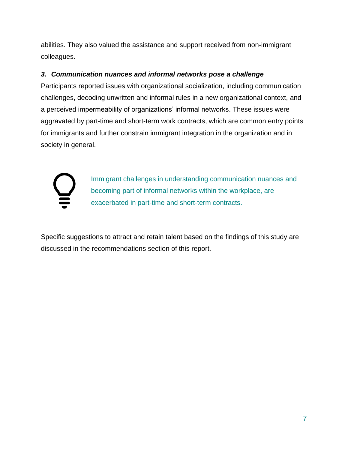abilities. They also valued the assistance and support received from non-immigrant colleagues.

#### *3. Communication nuances and informal networks pose a challenge*

Participants reported issues with organizational socialization, including communication challenges, decoding unwritten and informal rules in a new organizational context, and a perceived impermeability of organizations' informal networks. These issues were aggravated by part-time and short-term work contracts, which are common entry points for immigrants and further constrain immigrant integration in the organization and in society in general.



Immigrant challenges in understanding communication nuances and becoming part of informal networks within the workplace, are exacerbated in part-time and short-term contracts.

Specific suggestions to attract and retain talent based on the findings of this study are discussed in the recommendations section of this report.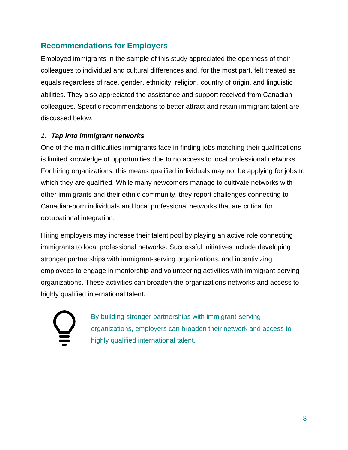# <span id="page-7-0"></span>**Recommendations for Employers**

Employed immigrants in the sample of this study appreciated the openness of their colleagues to individual and cultural differences and, for the most part, felt treated as equals regardless of race, gender, ethnicity, religion, country of origin, and linguistic abilities. They also appreciated the assistance and support received from Canadian colleagues. Specific recommendations to better attract and retain immigrant talent are discussed below.

#### *1. Tap into immigrant networks*

One of the main difficulties immigrants face in finding jobs matching their qualifications is limited knowledge of opportunities due to no access to local professional networks. For hiring organizations, this means qualified individuals may not be applying for jobs to which they are qualified. While many newcomers manage to cultivate networks with other immigrants and their ethnic community, they report challenges connecting to Canadian-born individuals and local professional networks that are critical for occupational integration.

Hiring employers may increase their talent pool by playing an active role connecting immigrants to local professional networks. Successful initiatives include developing stronger partnerships with immigrant-serving organizations, and incentivizing employees to engage in mentorship and volunteering activities with immigrant-serving organizations. These activities can broaden the organizations networks and access to highly qualified international talent.



By building stronger partnerships with immigrant-serving organizations, employers can broaden their network and access to highly qualified international talent.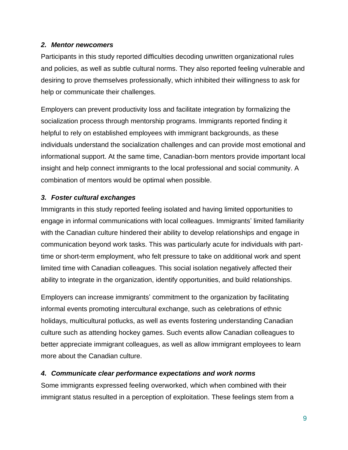#### *2. Mentor newcomers*

Participants in this study reported difficulties decoding unwritten organizational rules and policies, as well as subtle cultural norms. They also reported feeling vulnerable and desiring to prove themselves professionally, which inhibited their willingness to ask for help or communicate their challenges.

Employers can prevent productivity loss and facilitate integration by formalizing the socialization process through mentorship programs. Immigrants reported finding it helpful to rely on established employees with immigrant backgrounds, as these individuals understand the socialization challenges and can provide most emotional and informational support. At the same time, Canadian-born mentors provide important local insight and help connect immigrants to the local professional and social community. A combination of mentors would be optimal when possible.

#### *3. Foster cultural exchanges*

Immigrants in this study reported feeling isolated and having limited opportunities to engage in informal communications with local colleagues. Immigrants' limited familiarity with the Canadian culture hindered their ability to develop relationships and engage in communication beyond work tasks. This was particularly acute for individuals with parttime or short-term employment, who felt pressure to take on additional work and spent limited time with Canadian colleagues. This social isolation negatively affected their ability to integrate in the organization, identify opportunities, and build relationships.

Employers can increase immigrants' commitment to the organization by facilitating informal events promoting intercultural exchange, such as celebrations of ethnic holidays, multicultural potlucks, as well as events fostering understanding Canadian culture such as attending hockey games. Such events allow Canadian colleagues to better appreciate immigrant colleagues, as well as allow immigrant employees to learn more about the Canadian culture.

#### *4. Communicate clear performance expectations and work norms*

Some immigrants expressed feeling overworked, which when combined with their immigrant status resulted in a perception of exploitation. These feelings stem from a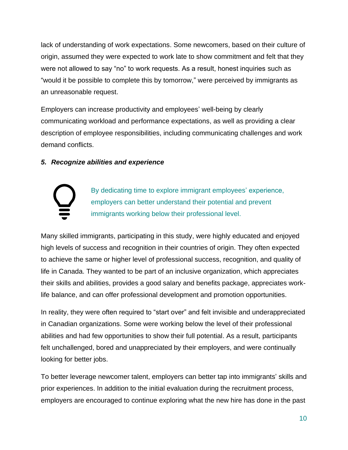lack of understanding of work expectations. Some newcomers, based on their culture of origin, assumed they were expected to work late to show commitment and felt that they were not allowed to say "no" to work requests. As a result, honest inquiries such as "would it be possible to complete this by tomorrow," were perceived by immigrants as an unreasonable request.

Employers can increase productivity and employees' well-being by clearly communicating workload and performance expectations, as well as providing a clear description of employee responsibilities, including communicating challenges and work demand conflicts.

#### *5. Recognize abilities and experience*



By dedicating time to explore immigrant employees' experience, employers can better understand their potential and prevent immigrants working below their professional level.

Many skilled immigrants, participating in this study, were highly educated and enjoyed high levels of success and recognition in their countries of origin. They often expected to achieve the same or higher level of professional success, recognition, and quality of life in Canada. They wanted to be part of an inclusive organization, which appreciates their skills and abilities, provides a good salary and benefits package, appreciates worklife balance, and can offer professional development and promotion opportunities.

In reality, they were often required to "start over" and felt invisible and underappreciated in Canadian organizations. Some were working below the level of their professional abilities and had few opportunities to show their full potential. As a result, participants felt unchallenged, bored and unappreciated by their employers, and were continually looking for better jobs.

To better leverage newcomer talent, employers can better tap into immigrants' skills and prior experiences. In addition to the initial evaluation during the recruitment process, employers are encouraged to continue exploring what the new hire has done in the past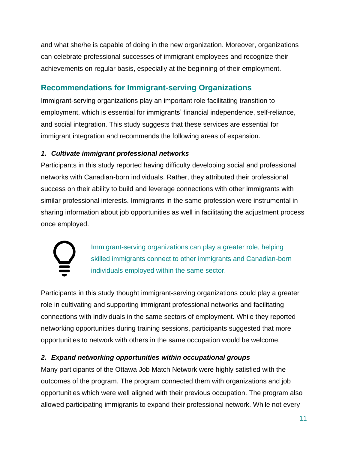and what she/he is capable of doing in the new organization. Moreover, organizations can celebrate professional successes of immigrant employees and recognize their achievements on regular basis, especially at the beginning of their employment.

# <span id="page-10-0"></span>**Recommendations for Immigrant-serving Organizations**

Immigrant-serving organizations play an important role facilitating transition to employment, which is essential for immigrants' financial independence, self-reliance, and social integration. This study suggests that these services are essential for immigrant integration and recommends the following areas of expansion.

### *1. Cultivate immigrant professional networks*

Participants in this study reported having difficulty developing social and professional networks with Canadian-born individuals. Rather, they attributed their professional success on their ability to build and leverage connections with other immigrants with similar professional interests. Immigrants in the same profession were instrumental in sharing information about job opportunities as well in facilitating the adjustment process once employed.



Immigrant-serving organizations can play a greater role, helping skilled immigrants connect to other immigrants and Canadian-born individuals employed within the same sector.

Participants in this study thought immigrant-serving organizations could play a greater role in cultivating and supporting immigrant professional networks and facilitating connections with individuals in the same sectors of employment. While they reported networking opportunities during training sessions, participants suggested that more opportunities to network with others in the same occupation would be welcome.

### *2. Expand networking opportunities within occupational groups*

Many participants of the Ottawa Job Match Network were highly satisfied with the outcomes of the program. The program connected them with organizations and job opportunities which were well aligned with their previous occupation. The program also allowed participating immigrants to expand their professional network. While not every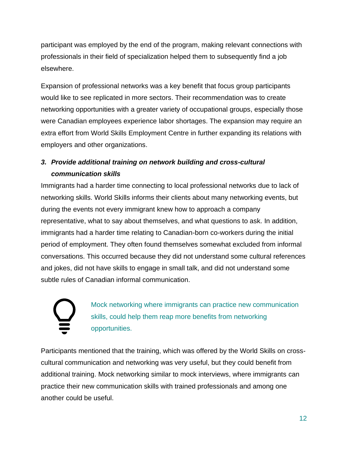participant was employed by the end of the program, making relevant connections with professionals in their field of specialization helped them to subsequently find a job elsewhere.

Expansion of professional networks was a key benefit that focus group participants would like to see replicated in more sectors. Their recommendation was to create networking opportunities with a greater variety of occupational groups, especially those were Canadian employees experience labor shortages. The expansion may require an extra effort from World Skills Employment Centre in further expanding its relations with employers and other organizations.

# *3. Provide additional training on network building and cross-cultural communication skills*

Immigrants had a harder time connecting to local professional networks due to lack of networking skills. World Skills informs their clients about many networking events, but during the events not every immigrant knew how to approach a company representative, what to say about themselves, and what questions to ask. In addition, immigrants had a harder time relating to Canadian-born co-workers during the initial period of employment. They often found themselves somewhat excluded from informal conversations. This occurred because they did not understand some cultural references and jokes, did not have skills to engage in small talk, and did not understand some subtle rules of Canadian informal communication.

Mock networking where immigrants can practice new communication skills, could help them reap more benefits from networking opportunities.

Participants mentioned that the training, which was offered by the World Skills on crosscultural communication and networking was very useful, but they could benefit from additional training. Mock networking similar to mock interviews, where immigrants can practice their new communication skills with trained professionals and among one another could be useful.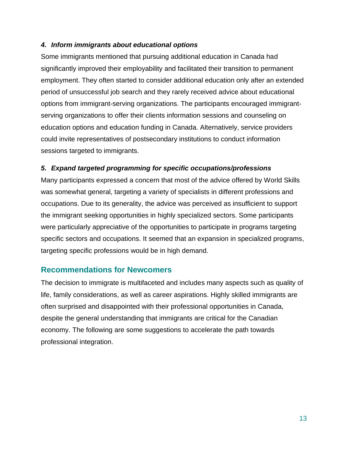#### *4. Inform immigrants about educational options*

Some immigrants mentioned that pursuing additional education in Canada had significantly improved their employability and facilitated their transition to permanent employment. They often started to consider additional education only after an extended period of unsuccessful job search and they rarely received advice about educational options from immigrant-serving organizations. The participants encouraged immigrantserving organizations to offer their clients information sessions and counseling on education options and education funding in Canada. Alternatively, service providers could invite representatives of postsecondary institutions to conduct information sessions targeted to immigrants.

#### *5. Expand targeted programming for specific occupations/professions*

Many participants expressed a concern that most of the advice offered by World Skills was somewhat general, targeting a variety of specialists in different professions and occupations. Due to its generality, the advice was perceived as insufficient to support the immigrant seeking opportunities in highly specialized sectors. Some participants were particularly appreciative of the opportunities to participate in programs targeting specific sectors and occupations. It seemed that an expansion in specialized programs, targeting specific professions would be in high demand.

### <span id="page-12-0"></span>**Recommendations for Newcomers**

The decision to immigrate is multifaceted and includes many aspects such as quality of life, family considerations, as well as career aspirations. Highly skilled immigrants are often surprised and disappointed with their professional opportunities in Canada, despite the general understanding that immigrants are critical for the Canadian economy. The following are some suggestions to accelerate the path towards professional integration.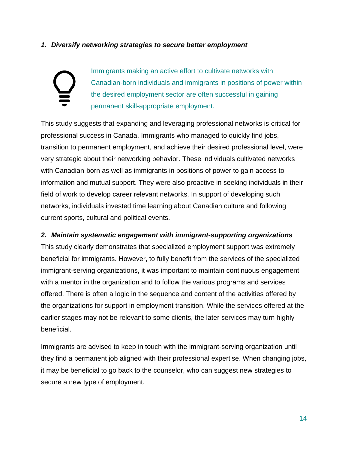#### *1. Diversify networking strategies to secure better employment*

# Immigrants making an active effort to cultivate networks with Canadian-born individuals and immigrants in positions of power within the desired employment sector are often successful in gaining permanent skill-appropriate employment.

This study suggests that expanding and leveraging professional networks is critical for professional success in Canada. Immigrants who managed to quickly find jobs, transition to permanent employment, and achieve their desired professional level, were very strategic about their networking behavior. These individuals cultivated networks with Canadian-born as well as immigrants in positions of power to gain access to information and mutual support. They were also proactive in seeking individuals in their field of work to develop career relevant networks. In support of developing such networks, individuals invested time learning about Canadian culture and following current sports, cultural and political events.

#### *2. Maintain systematic engagement with immigrant-supporting organizations*

This study clearly demonstrates that specialized employment support was extremely beneficial for immigrants. However, to fully benefit from the services of the specialized immigrant-serving organizations, it was important to maintain continuous engagement with a mentor in the organization and to follow the various programs and services offered. There is often a logic in the sequence and content of the activities offered by the organizations for support in employment transition. While the services offered at the earlier stages may not be relevant to some clients, the later services may turn highly beneficial.

Immigrants are advised to keep in touch with the immigrant-serving organization until they find a permanent job aligned with their professional expertise. When changing jobs, it may be beneficial to go back to the counselor, who can suggest new strategies to secure a new type of employment.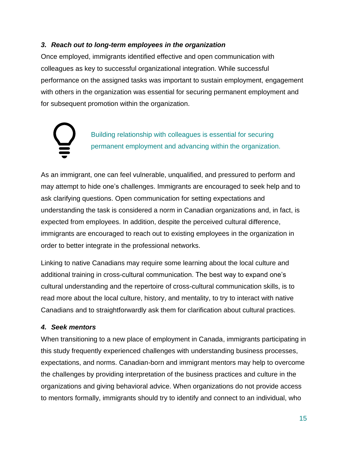#### *3. Reach out to long-term employees in the organization*

Once employed, immigrants identified effective and open communication with colleagues as key to successful organizational integration. While successful performance on the assigned tasks was important to sustain employment, engagement with others in the organization was essential for securing permanent employment and for subsequent promotion within the organization.

> Building relationship with colleagues is essential for securing permanent employment and advancing within the organization.

As an immigrant, one can feel vulnerable, unqualified, and pressured to perform and may attempt to hide one's challenges. Immigrants are encouraged to seek help and to ask clarifying questions. Open communication for setting expectations and understanding the task is considered a norm in Canadian organizations and, in fact, is expected from employees. In addition, despite the perceived cultural difference, immigrants are encouraged to reach out to existing employees in the organization in order to better integrate in the professional networks.

Linking to native Canadians may require some learning about the local culture and additional training in cross-cultural communication. The best way to expand one's cultural understanding and the repertoire of cross-cultural communication skills, is to read more about the local culture, history, and mentality, to try to interact with native Canadians and to straightforwardly ask them for clarification about cultural practices.

#### *4. Seek mentors*

When transitioning to a new place of employment in Canada, immigrants participating in this study frequently experienced challenges with understanding business processes, expectations, and norms. Canadian-born and immigrant mentors may help to overcome the challenges by providing interpretation of the business practices and culture in the organizations and giving behavioral advice. When organizations do not provide access to mentors formally, immigrants should try to identify and connect to an individual, who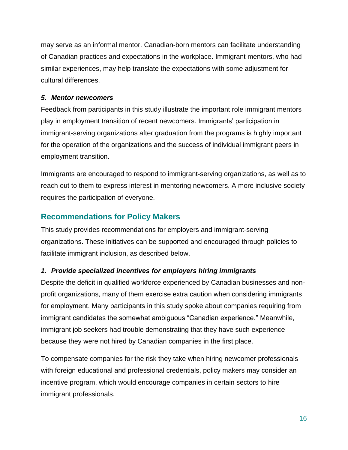may serve as an informal mentor. Canadian-born mentors can facilitate understanding of Canadian practices and expectations in the workplace. Immigrant mentors, who had similar experiences, may help translate the expectations with some adjustment for cultural differences.

#### *5. Mentor newcomers*

Feedback from participants in this study illustrate the important role immigrant mentors play in employment transition of recent newcomers. Immigrants' participation in immigrant-serving organizations after graduation from the programs is highly important for the operation of the organizations and the success of individual immigrant peers in employment transition.

Immigrants are encouraged to respond to immigrant-serving organizations, as well as to reach out to them to express interest in mentoring newcomers. A more inclusive society requires the participation of everyone.

# <span id="page-15-0"></span>**Recommendations for Policy Makers**

This study provides recommendations for employers and immigrant-serving organizations. These initiatives can be supported and encouraged through policies to facilitate immigrant inclusion, as described below.

#### *1. Provide specialized incentives for employers hiring immigrants*

Despite the deficit in qualified workforce experienced by Canadian businesses and nonprofit organizations, many of them exercise extra caution when considering immigrants for employment. Many participants in this study spoke about companies requiring from immigrant candidates the somewhat ambiguous "Canadian experience." Meanwhile, immigrant job seekers had trouble demonstrating that they have such experience because they were not hired by Canadian companies in the first place.

To compensate companies for the risk they take when hiring newcomer professionals with foreign educational and professional credentials, policy makers may consider an incentive program, which would encourage companies in certain sectors to hire immigrant professionals.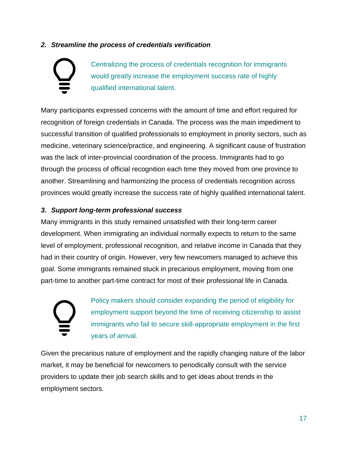#### *2. Streamline the process of credentials verification*

Centralizing the process of credentials recognition for immigrants would greatly increase the employment success rate of highly qualified international talent.

Many participants expressed concerns with the amount of time and effort required for recognition of foreign credentials in Canada. The process was the main impediment to successful transition of qualified professionals to employment in priority sectors, such as medicine, veterinary science/practice, and engineering. A significant cause of frustration was the lack of inter-provincial coordination of the process. Immigrants had to go through the process of official recognition each time they moved from one province to another. Streamlining and harmonizing the process of credentials recognition across provinces would greatly increase the success rate of highly qualified international talent.

#### *3. Support long-term professional success*

Many immigrants in this study remained unsatisfied with their long-term career development. When immigrating an individual normally expects to return to the same level of employment, professional recognition, and relative income in Canada that they had in their country of origin. However, very few newcomers managed to achieve this goal. Some immigrants remained stuck in precarious employment, moving from one part-time to another part-time contract for most of their professional life in Canada.



Policy makers should consider expanding the period of eligibility for employment support beyond the time of receiving citizenship to assist immigrants who fail to secure skill-appropriate employment in the first years of arrival.

Given the precarious nature of employment and the rapidly changing nature of the labor market, it may be beneficial for newcomers to periodically consult with the service providers to update their job search skills and to get ideas about trends in the employment sectors.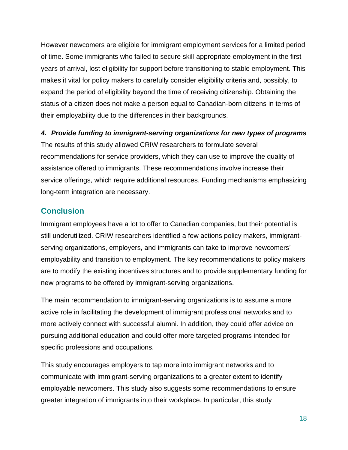However newcomers are eligible for immigrant employment services for a limited period of time. Some immigrants who failed to secure skill-appropriate employment in the first years of arrival, lost eligibility for support before transitioning to stable employment. This makes it vital for policy makers to carefully consider eligibility criteria and, possibly, to expand the period of eligibility beyond the time of receiving citizenship. Obtaining the status of a citizen does not make a person equal to Canadian-born citizens in terms of their employability due to the differences in their backgrounds.

#### *4. Provide funding to immigrant-serving organizations for new types of programs*

The results of this study allowed CRIW researchers to formulate several recommendations for service providers, which they can use to improve the quality of assistance offered to immigrants. These recommendations involve increase their service offerings, which require additional resources. Funding mechanisms emphasizing long-term integration are necessary.

### <span id="page-17-0"></span>**Conclusion**

Immigrant employees have a lot to offer to Canadian companies, but their potential is still underutilized. CRIW researchers identified a few actions policy makers, immigrantserving organizations, employers, and immigrants can take to improve newcomers' employability and transition to employment. The key recommendations to policy makers are to modify the existing incentives structures and to provide supplementary funding for new programs to be offered by immigrant-serving organizations.

The main recommendation to immigrant-serving organizations is to assume a more active role in facilitating the development of immigrant professional networks and to more actively connect with successful alumni. In addition, they could offer advice on pursuing additional education and could offer more targeted programs intended for specific professions and occupations.

This study encourages employers to tap more into immigrant networks and to communicate with immigrant-serving organizations to a greater extent to identify employable newcomers. This study also suggests some recommendations to ensure greater integration of immigrants into their workplace. In particular, this study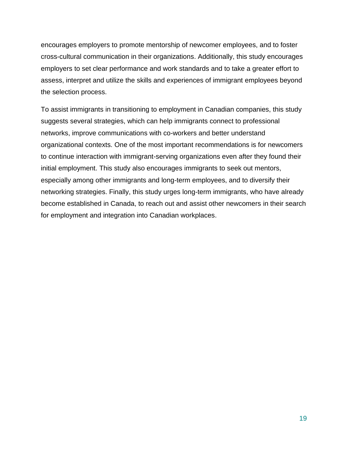encourages employers to promote mentorship of newcomer employees, and to foster cross-cultural communication in their organizations. Additionally, this study encourages employers to set clear performance and work standards and to take a greater effort to assess, interpret and utilize the skills and experiences of immigrant employees beyond the selection process.

To assist immigrants in transitioning to employment in Canadian companies, this study suggests several strategies, which can help immigrants connect to professional networks, improve communications with co-workers and better understand organizational contexts. One of the most important recommendations is for newcomers to continue interaction with immigrant-serving organizations even after they found their initial employment. This study also encourages immigrants to seek out mentors, especially among other immigrants and long-term employees, and to diversify their networking strategies. Finally, this study urges long-term immigrants, who have already become established in Canada, to reach out and assist other newcomers in their search for employment and integration into Canadian workplaces.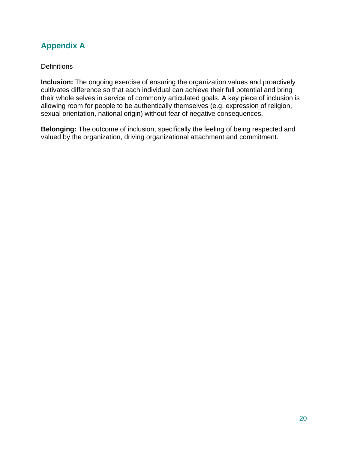# <span id="page-19-0"></span>**Appendix A**

#### **Definitions**

**Inclusion:** The ongoing exercise of ensuring the organization values and proactively cultivates difference so that each individual can achieve their full potential and bring their whole selves in service of commonly articulated goals. A key piece of inclusion is allowing room for people to be authentically themselves (e.g. expression of religion, sexual orientation, national origin) without fear of negative consequences.

**Belonging:** The outcome of inclusion, specifically the feeling of being respected and valued by the organization, driving organizational attachment and commitment.